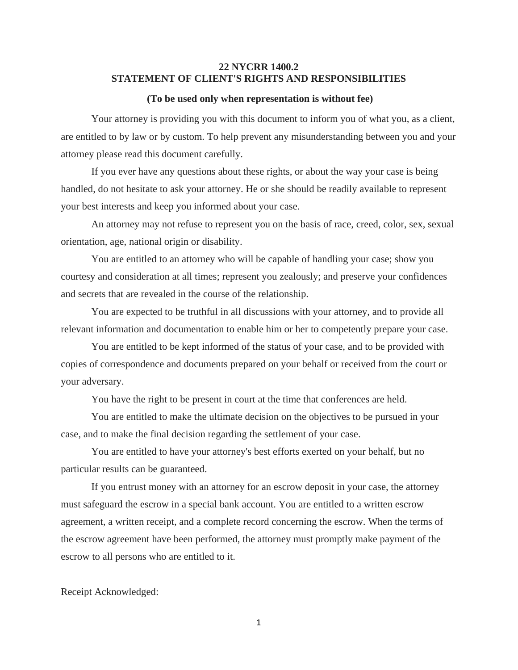## **22 NYCRR 1400.2 STATEMENT OF CLIENT'S RIGHTS AND RESPONSIBILITIES**

## **(To be used only when representation is without fee)**

Your attorney is providing you with this document to inform you of what you, as a client, are entitled to by law or by custom. To help prevent any misunderstanding between you and your attorney please read this document carefully.

If you ever have any questions about these rights, or about the way your case is being handled, do not hesitate to ask your attorney. He or she should be readily available to represent your best interests and keep you informed about your case.

An attorney may not refuse to represent you on the basis of race, creed, color, sex, sexual orientation, age, national origin or disability.

You are entitled to an attorney who will be capable of handling your case; show you courtesy and consideration at all times; represent you zealously; and preserve your confidences and secrets that are revealed in the course of the relationship.

You are expected to be truthful in all discussions with your attorney, and to provide all relevant information and documentation to enable him or her to competently prepare your case.

You are entitled to be kept informed of the status of your case, and to be provided with copies of correspondence and documents prepared on your behalf or received from the court or your adversary.

You have the right to be present in court at the time that conferences are held.

You are entitled to make the ultimate decision on the objectives to be pursued in your case, and to make the final decision regarding the settlement of your case.

You are entitled to have your attorney's best efforts exerted on your behalf, but no particular results can be guaranteed.

If you entrust money with an attorney for an escrow deposit in your case, the attorney must safeguard the escrow in a special bank account. You are entitled to a written escrow agreement, a written receipt, and a complete record concerning the escrow. When the terms of the escrow agreement have been performed, the attorney must promptly make payment of the escrow to all persons who are entitled to it.

Receipt Acknowledged:

1